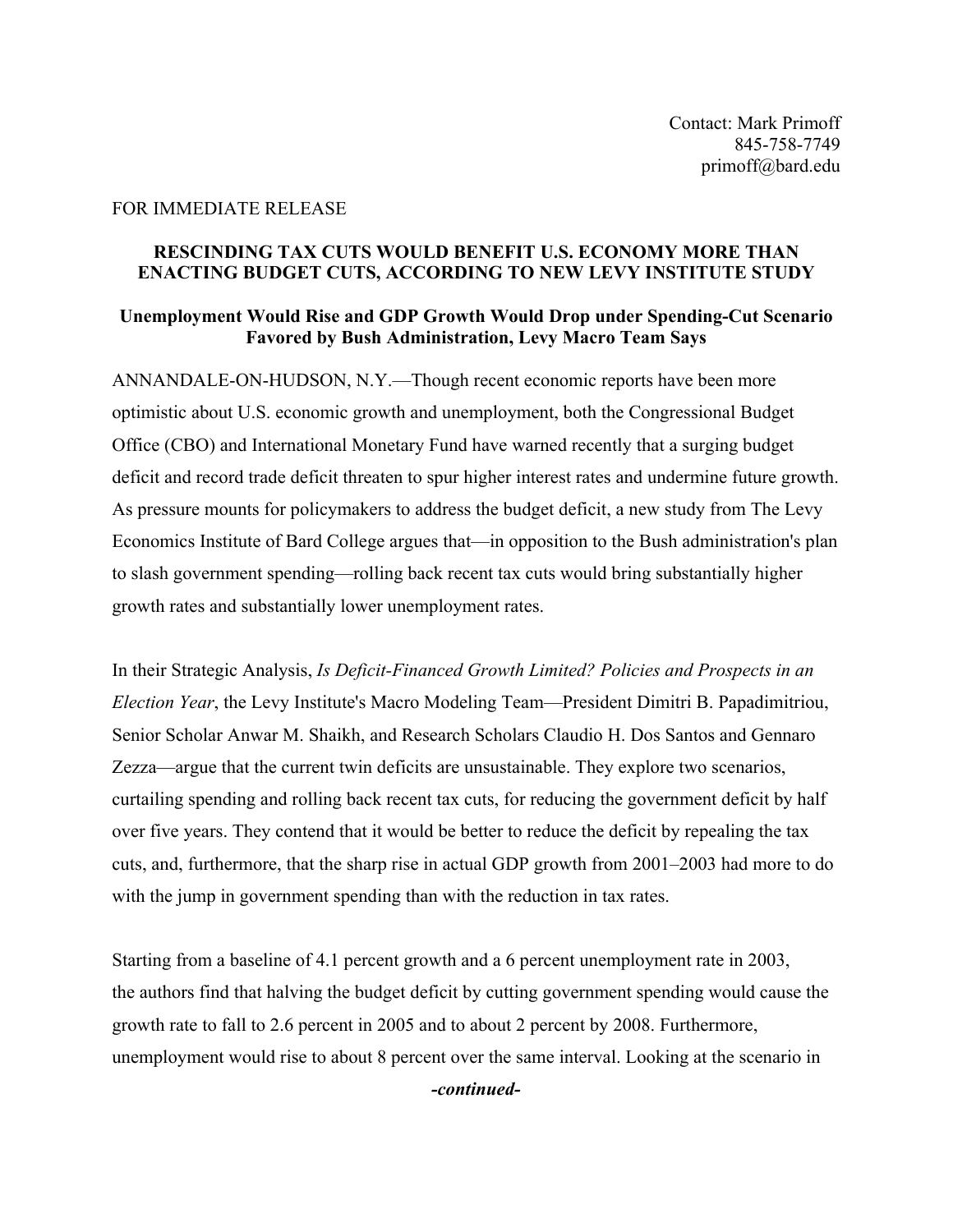## FOR IMMEDIATE RELEASE

## **RESCINDING TAX CUTS WOULD BENEFIT U.S. ECONOMY MORE THAN ENACTING BUDGET CUTS, ACCORDING TO NEW LEVY INSTITUTE STUDY**

## **Unemployment Would Rise and GDP Growth Would Drop under Spending-Cut Scenario Favored by Bush Administration, Levy Macro Team Says**

ANNANDALE-ON-HUDSON, N.Y.—Though recent economic reports have been more optimistic about U.S. economic growth and unemployment, both the Congressional Budget Office (CBO) and International Monetary Fund have warned recently that a surging budget deficit and record trade deficit threaten to spur higher interest rates and undermine future growth. As pressure mounts for policymakers to address the budget deficit, a new study from The Levy Economics Institute of Bard College argues that—in opposition to the Bush administration's plan to slash government spending—rolling back recent tax cuts would bring substantially higher growth rates and substantially lower unemployment rates.

In their Strategic Analysis, *Is Deficit-Financed Growth Limited? Policies and Prospects in an Election Year*, the Levy Institute's Macro Modeling Team—President Dimitri B. Papadimitriou, Senior Scholar Anwar M. Shaikh, and Research Scholars Claudio H. Dos Santos and Gennaro Zezza—argue that the current twin deficits are unsustainable. They explore two scenarios, curtailing spending and rolling back recent tax cuts, for reducing the government deficit by half over five years. They contend that it would be better to reduce the deficit by repealing the tax cuts, and, furthermore, that the sharp rise in actual GDP growth from 2001–2003 had more to do with the jump in government spending than with the reduction in tax rates.

Starting from a baseline of 4.1 percent growth and a 6 percent unemployment rate in 2003, the authors find that halving the budget deficit by cutting government spending would cause the growth rate to fall to 2.6 percent in 2005 and to about 2 percent by 2008. Furthermore, unemployment would rise to about 8 percent over the same interval. Looking at the scenario in

*-continued-*